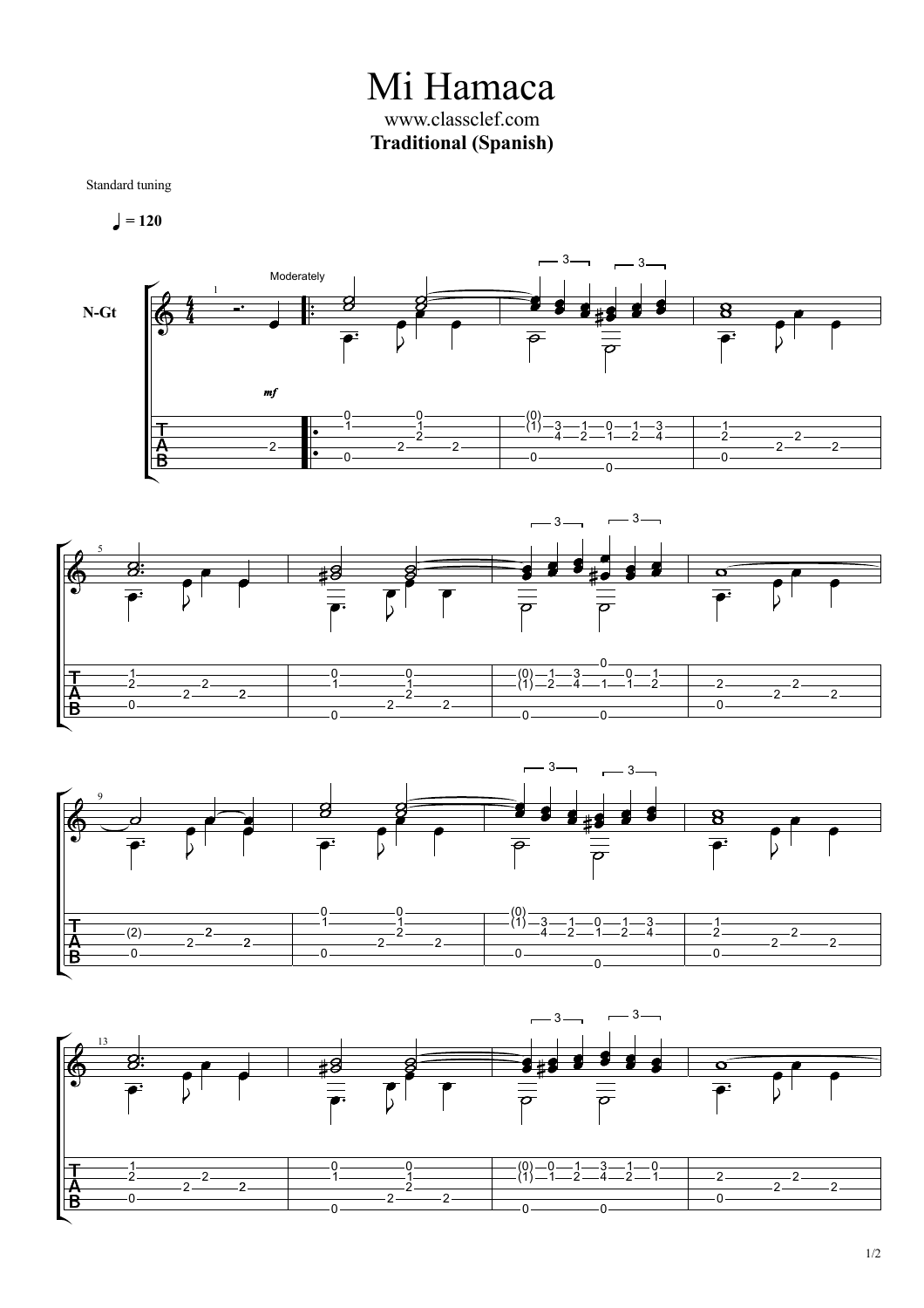Mi Hamaca www.classclef.com **Traditional (Spanish)**

Standard tuning

$$
\blacksquare = 120
$$